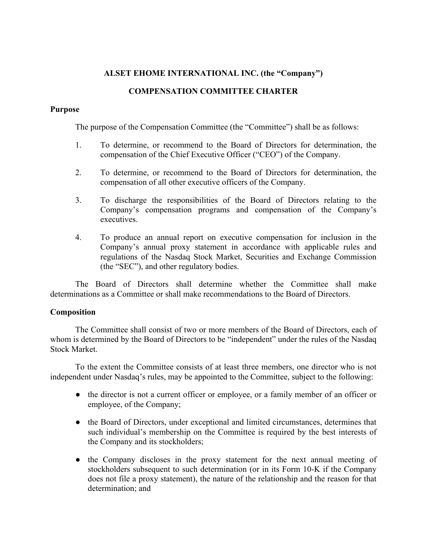# **ALSET EHOME INTERNATIONAL INC. (the "Company")**

# **COMPENSATION COMMITTEE CHARTER**

# **Purpose**

The purpose of the Compensation Committee (the "Committee") shall be as follows:

- 1. To determine, or recommend to the Board of Directors for determination, the compensation of the Chief Executive Officer ("CEO") of the Company.
- 2. To determine, or recommend to the Board of Directors for determination, the compensation of all other executive officers of the Company.
- 3. To discharge the responsibilities of the Board of Directors relating to the Company's compensation programs and compensation of the Company's executives.
- 4. To produce an annual report on executive compensation for inclusion in the Company's annual proxy statement in accordance with applicable rules and regulations of the Nasdaq Stock Market, Securities and Exchange Commission (the "SEC"), and other regulatory bodies.

The Board of Directors shall determine whether the Committee shall make determinations as a Committee or shall make recommendations to the Board of Directors.

# **Composition**

The Committee shall consist of two or more members of the Board of Directors, each of whom is determined by the Board of Directors to be "independent" under the rules of the Nasdaq Stock Market.

To the extent the Committee consists of at least three members, one director who is not independent under Nasdaq's rules, may be appointed to the Committee, subject to the following:

- **●** the director is not a current officer or employee, or a family member of an officer or employee, of the Company;
- **●** the Board of Directors, under exceptional and limited circumstances, determines that such individual's membership on the Committee is required by the best interests of the Company and its stockholders;
- **●** the Company discloses in the proxy statement for the next annual meeting of stockholders subsequent to such determination (or in its Form 10-K if the Company does not file a proxy statement), the nature of the relationship and the reason for that determination; and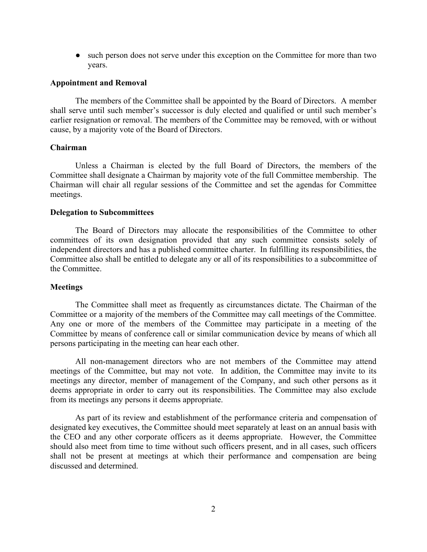**●** such person does not serve under this exception on the Committee for more than two years.

#### **Appointment and Removal**

The members of the Committee shall be appointed by the Board of Directors. A member shall serve until such member's successor is duly elected and qualified or until such member's earlier resignation or removal. The members of the Committee may be removed, with or without cause, by a majority vote of the Board of Directors.

### **Chairman**

Unless a Chairman is elected by the full Board of Directors, the members of the Committee shall designate a Chairman by majority vote of the full Committee membership. The Chairman will chair all regular sessions of the Committee and set the agendas for Committee meetings.

### **Delegation to Subcommittees**

The Board of Directors may allocate the responsibilities of the Committee to other committees of its own designation provided that any such committee consists solely of independent directors and has a published committee charter. In fulfilling its responsibilities, the Committee also shall be entitled to delegate any or all of its responsibilities to a subcommittee of the Committee.

#### **Meetings**

The Committee shall meet as frequently as circumstances dictate. The Chairman of the Committee or a majority of the members of the Committee may call meetings of the Committee. Any one or more of the members of the Committee may participate in a meeting of the Committee by means of conference call or similar communication device by means of which all persons participating in the meeting can hear each other.

All non-management directors who are not members of the Committee may attend meetings of the Committee, but may not vote. In addition, the Committee may invite to its meetings any director, member of management of the Company, and such other persons as it deems appropriate in order to carry out its responsibilities. The Committee may also exclude from its meetings any persons it deems appropriate.

As part of its review and establishment of the performance criteria and compensation of designated key executives, the Committee should meet separately at least on an annual basis with the CEO and any other corporate officers as it deems appropriate. However, the Committee should also meet from time to time without such officers present, and in all cases, such officers shall not be present at meetings at which their performance and compensation are being discussed and determined.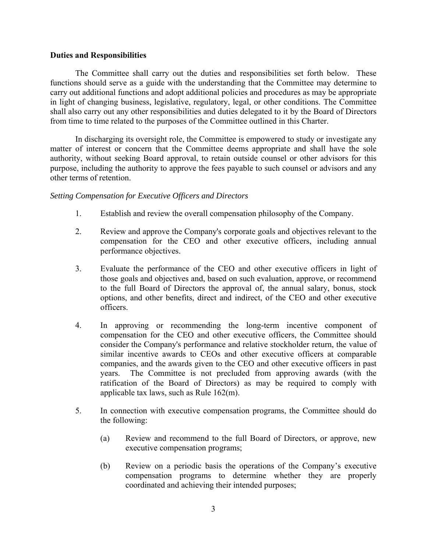### **Duties and Responsibilities**

The Committee shall carry out the duties and responsibilities set forth below. These functions should serve as a guide with the understanding that the Committee may determine to carry out additional functions and adopt additional policies and procedures as may be appropriate in light of changing business, legislative, regulatory, legal, or other conditions. The Committee shall also carry out any other responsibilities and duties delegated to it by the Board of Directors from time to time related to the purposes of the Committee outlined in this Charter.

In discharging its oversight role, the Committee is empowered to study or investigate any matter of interest or concern that the Committee deems appropriate and shall have the sole authority, without seeking Board approval, to retain outside counsel or other advisors for this purpose, including the authority to approve the fees payable to such counsel or advisors and any other terms of retention.

### *Setting Compensation for Executive Officers and Directors*

- 1. Establish and review the overall compensation philosophy of the Company.
- 2. Review and approve the Company's corporate goals and objectives relevant to the compensation for the CEO and other executive officers, including annual performance objectives.
- 3. Evaluate the performance of the CEO and other executive officers in light of those goals and objectives and, based on such evaluation, approve, or recommend to the full Board of Directors the approval of, the annual salary, bonus, stock options, and other benefits, direct and indirect, of the CEO and other executive officers.
- 4. In approving or recommending the long-term incentive component of compensation for the CEO and other executive officers, the Committee should consider the Company's performance and relative stockholder return, the value of similar incentive awards to CEOs and other executive officers at comparable companies, and the awards given to the CEO and other executive officers in past years. The Committee is not precluded from approving awards (with the ratification of the Board of Directors) as may be required to comply with applicable tax laws, such as Rule 162(m).
- 5. In connection with executive compensation programs, the Committee should do the following:
	- (a) Review and recommend to the full Board of Directors, or approve, new executive compensation programs;
	- (b) Review on a periodic basis the operations of the Company's executive compensation programs to determine whether they are properly coordinated and achieving their intended purposes;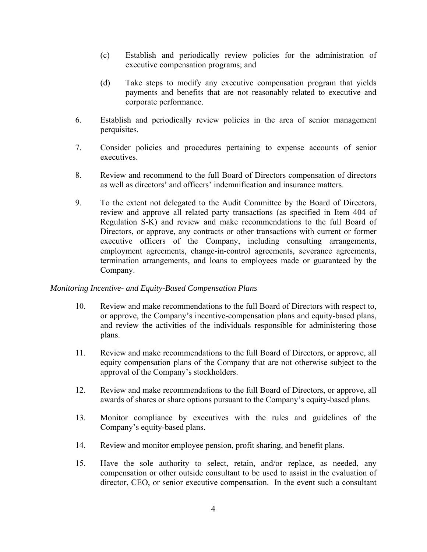- (c) Establish and periodically review policies for the administration of executive compensation programs; and
- (d) Take steps to modify any executive compensation program that yields payments and benefits that are not reasonably related to executive and corporate performance.
- 6. Establish and periodically review policies in the area of senior management perquisites.
- 7. Consider policies and procedures pertaining to expense accounts of senior executives.
- 8. Review and recommend to the full Board of Directors compensation of directors as well as directors' and officers' indemnification and insurance matters.
- 9. To the extent not delegated to the Audit Committee by the Board of Directors, review and approve all related party transactions (as specified in Item 404 of Regulation S-K) and review and make recommendations to the full Board of Directors, or approve, any contracts or other transactions with current or former executive officers of the Company, including consulting arrangements, employment agreements, change-in-control agreements, severance agreements, termination arrangements, and loans to employees made or guaranteed by the Company.

# *Monitoring Incentive- and Equity-Based Compensation Plans*

- 10. Review and make recommendations to the full Board of Directors with respect to, or approve, the Company's incentive-compensation plans and equity-based plans, and review the activities of the individuals responsible for administering those plans.
- 11. Review and make recommendations to the full Board of Directors, or approve, all equity compensation plans of the Company that are not otherwise subject to the approval of the Company's stockholders.
- 12. Review and make recommendations to the full Board of Directors, or approve, all awards of shares or share options pursuant to the Company's equity-based plans.
- 13. Monitor compliance by executives with the rules and guidelines of the Company's equity-based plans.
- 14. Review and monitor employee pension, profit sharing, and benefit plans.
- 15. Have the sole authority to select, retain, and/or replace, as needed, any compensation or other outside consultant to be used to assist in the evaluation of director, CEO, or senior executive compensation. In the event such a consultant